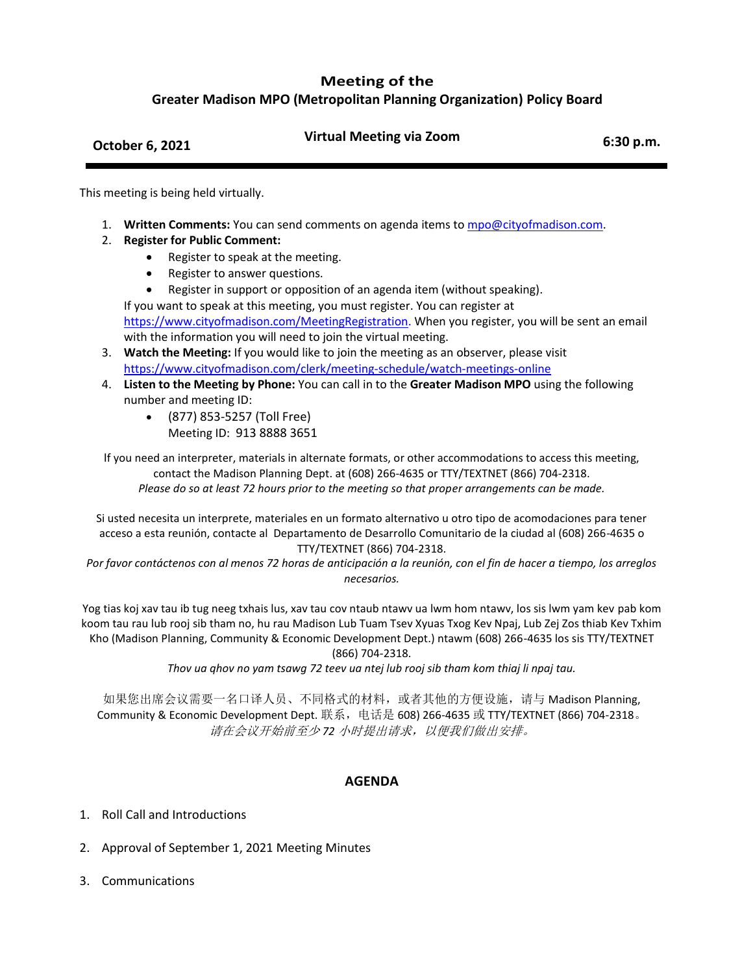## **Meeting of the**

**Greater Madison MPO (Metropolitan Planning Organization) Policy Board**

## **October 6, 2021 Virtual Meeting via Zoom 6:30 p.m.**

This meeting is being held virtually.

- 1. **Written Comments:** You can send comments on agenda items to [mpo@cityofmadison.com.](mailto:mpo@cityofmadison.com)
- 2. **Register for Public Comment:**
	- Register to speak at the meeting.
	- Register to answer questions.
	- Register in support or opposition of an agenda item (without speaking).

If you want to speak at this meeting, you must register. You can register at [https://www.cityofmadison.com/MeetingRegistration.](https://www.cityofmadison.com/MeetingRegistration) When you register, you will be sent an email with the information you will need to join the virtual meeting.

- 3. **Watch the Meeting:** If you would like to join the meeting as an observer, please visit <https://www.cityofmadison.com/clerk/meeting-schedule/watch-meetings-online>
- 4. **Listen to the Meeting by Phone:** You can call in to the **Greater Madison MPO** using the following number and meeting ID:
	- (877) 853-5257 (Toll Free) Meeting ID: 913 8888 3651

If you need an interpreter, materials in alternate formats, or other accommodations to access this meeting, contact the Madison Planning Dept. at (608) 266-4635 or TTY/TEXTNET (866) 704-2318. *Please do so at least 72 hours prior to the meeting so that proper arrangements can be made.*

Si usted necesita un interprete, materiales en un formato alternativo u otro tipo de acomodaciones para tener acceso a esta reunión, contacte al Departamento de Desarrollo Comunitario de la ciudad al (608) 266-4635 o TTY/TEXTNET (866) 704-2318.

*Por favor contáctenos con al menos 72 horas de anticipación a la reunión, con el fin de hacer a tiempo, los arreglos necesarios.*

Yog tias koj xav tau ib tug neeg txhais lus, xav tau cov ntaub ntawv ua lwm hom ntawv, los sis lwm yam kev pab kom koom tau rau lub rooj sib tham no, hu rau Madison Lub Tuam Tsev Xyuas Txog Kev Npaj, Lub Zej Zos thiab Kev Txhim Kho (Madison Planning, Community & Economic Development Dept.) ntawm (608) 266-4635 los sis TTY/TEXTNET (866) 704-2318.

*Thov ua qhov no yam tsawg 72 teev ua ntej lub rooj sib tham kom thiaj li npaj tau.*

如果您出席会议需要一名口译人员、不同格式的材料,或者其他的方便设施,请与 Madison Planning, Community & Economic Development Dept. 联系,电话是 608) 266-4635 或 TTY/TEXTNET (866) 704-2318。 请在会议开始前至少 *72* 小时提出请求,以便我们做出安排。

## **AGENDA**

- 1. Roll Call and Introductions
- 2. Approval of September 1, 2021 Meeting Minutes
- 3. Communications